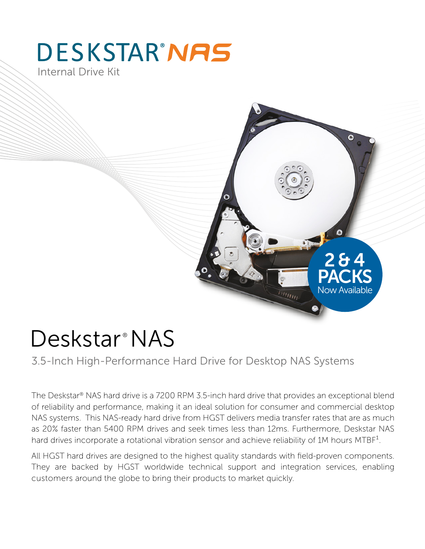## **DESKSTAR'NAS** Internal Drive Kit



# Deskstar<sup>®</sup> NAS

3.5-Inch High-Performance Hard Drive for Desktop NAS Systems

The Deskstar® NAS hard drive is a 7200 RPM 3.5-inch hard drive that provides an exceptional blend of reliability and performance, making it an ideal solution for consumer and commercial desktop NAS systems. This NAS-ready hard drive from HGST delivers media transfer rates that are as much as 20% faster than 5400 RPM drives and seek times less than 12ms. Furthermore, Deskstar NAS hard drives incorporate a rotational vibration sensor and achieve reliability of 1M hours MTBF<sup>1</sup>.

All HGST hard drives are designed to the highest quality standards with field-proven components. They are backed by HGST worldwide technical support and integration services, enabling customers around the globe to bring their products to market quickly.